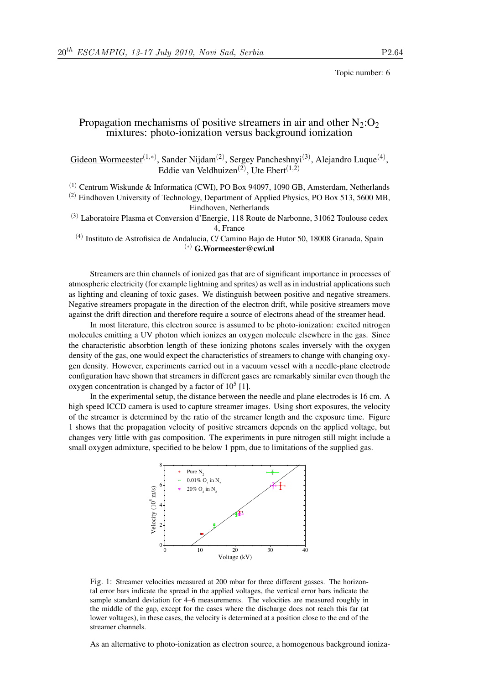Topic number: 6

## Propagation mechanisms of positive streamers in air and other  $N_2$ : $O_2$ mixtures: photo-ionization versus background ionization

Gideon Wormeester<sup>(1,\*)</sup>, Sander Nijdam<sup>(2)</sup>, Sergey Pancheshnyi<sup>(3)</sup>, Alejandro Luque<sup>(4)</sup>, Eddie van Veldhuizen<sup>(2)</sup>, Ute Ebert<sup>(1,2)</sup>

(1) Centrum Wiskunde & Informatica (CWI), PO Box 94097, 1090 GB, Amsterdam, Netherlands

(2) Eindhoven University of Technology, Department of Applied Physics, PO Box 513, 5600 MB, Eindhoven, Netherlands

(3) Laboratoire Plasma et Conversion d'Energie, 118 Route de Narbonne, 31062 Toulouse cedex 4, France

<sup>(4)</sup> Instituto de Astrofisica de Andalucia, C/ Camino Bajo de Hutor 50, 18008 Granada, Spain (∗) G.Wormeester@cwi.nl

Streamers are thin channels of ionized gas that are of significant importance in processes of atmospheric electricity (for example lightning and sprites) as well as in industrial applications such as lighting and cleaning of toxic gases. We distinguish between positive and negative streamers. Negative streamers propagate in the direction of the electron drift, while positive streamers move against the drift direction and therefore require a source of electrons ahead of the streamer head.

In most literature, this electron source is assumed to be photo-ionization: excited nitrogen molecules emitting a UV photon which ionizes an oxygen molecule elsewhere in the gas. Since the characteristic absorbtion length of these ionizing photons scales inversely with the oxygen density of the gas, one would expect the characteristics of streamers to change with changing oxygen density. However, experiments carried out in a vacuum vessel with a needle-plane electrode configuration have shown that streamers in different gases are remarkably similar even though the oxygen concentration is changed by a factor of  $10<sup>5</sup>$  [1].

In the experimental setup, the distance between the needle and plane electrodes is 16 cm. A high speed ICCD camera is used to capture streamer images. Using short exposures, the velocity of the streamer is determined by the ratio of the streamer length and the exposure time. Figure 1 shows that the propagation velocity of positive streamers depends on the applied voltage, but changes very little with gas composition. The experiments in pure nitrogen still might include a small oxygen admixture, specified to be below 1 ppm, due to limitations of the supplied gas.



Fig. 1: Streamer velocities measured at 200 mbar for three different gasses. The horizontal error bars indicate the spread in the applied voltages, the vertical error bars indicate the sample standard deviation for 4–6 measurements. The velocities are measured roughly in the middle of the gap, except for the cases where the discharge does not reach this far (at lower voltages), in these cases, the velocity is determined at a position close to the end of the streamer channels.

As an alternative to photo-ionization as electron source, a homogenous background ioniza-